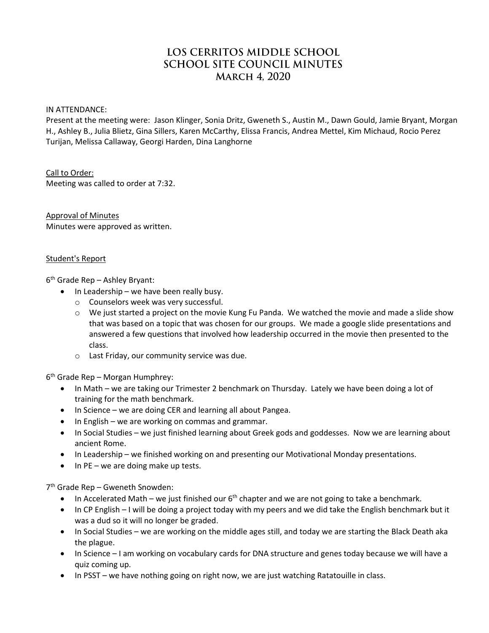# LOS CERRITOS MIDDLE SCHOOL **SCHOOL SITE COUNCIL MINUTES MARCH 4.2020**

IN ATTENDANCE:

Present at the meeting were: Jason Klinger, Sonia Dritz, Gweneth S., Austin M., Dawn Gould, Jamie Bryant, Morgan H., Ashley B., Julia Blietz, Gina Sillers, Karen McCarthy, Elissa Francis, Andrea Mettel, Kim Michaud, Rocio Perez Turijan, Melissa Callaway, Georgi Harden, Dina Langhorne

#### Call to Order:

Meeting was called to order at 7:32.

Approval of Minutes Minutes were approved as written.

#### Student's Report

6 th Grade Rep – Ashley Bryant:

- $\bullet$  In Leadership we have been really busy.
	- o Counselors week was very successful.
	- $\circ$  We just started a project on the movie Kung Fu Panda. We watched the movie and made a slide show that was based on a topic that was chosen for our groups. We made a google slide presentations and answered a few questions that involved how leadership occurred in the movie then presented to the class.
	- o Last Friday, our community service was due.

6 th Grade Rep – Morgan Humphrey:

- In Math we are taking our Trimester 2 benchmark on Thursday. Lately we have been doing a lot of training for the math benchmark.
- In Science we are doing CER and learning all about Pangea.
- In English we are working on commas and grammar.
- In Social Studies we just finished learning about Greek gods and goddesses. Now we are learning about ancient Rome.
- In Leadership we finished working on and presenting our Motivational Monday presentations.
- $\bullet$  In PE we are doing make up tests.

7 th Grade Rep – Gweneth Snowden:

- $\bullet$  In Accelerated Math we just finished our 6<sup>th</sup> chapter and we are not going to take a benchmark.
- In CP English I will be doing a project today with my peers and we did take the English benchmark but it was a dud so it will no longer be graded.
- In Social Studies we are working on the middle ages still, and today we are starting the Black Death aka the plague.
- In Science I am working on vocabulary cards for DNA structure and genes today because we will have a quiz coming up.
- In PSST we have nothing going on right now, we are just watching Ratatouille in class.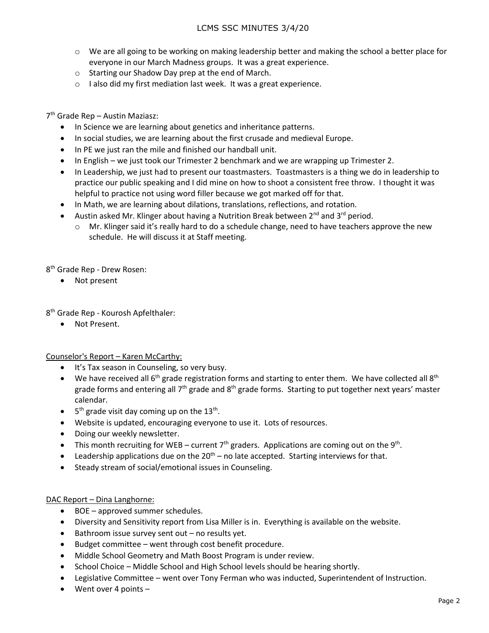- $\circ$  We are all going to be working on making leadership better and making the school a better place for everyone in our March Madness groups. It was a great experience.
- o Starting our Shadow Day prep at the end of March.
- o I also did my first mediation last week. It was a great experience.

## 7 th Grade Rep – Austin Maziasz:

- In Science we are learning about genetics and inheritance patterns.
- In social studies, we are learning about the first crusade and medieval Europe.
- In PE we just ran the mile and finished our handball unit.
- In English we just took our Trimester 2 benchmark and we are wrapping up Trimester 2.
- In Leadership, we just had to present our toastmasters. Toastmasters is a thing we do in leadership to practice our public speaking and I did mine on how to shoot a consistent free throw. I thought it was helpful to practice not using word filler because we got marked off for that.
- In Math, we are learning about dilations, translations, reflections, and rotation.
- Austin asked Mr. Klinger about having a Nutrition Break between  $2^{nd}$  and  $3^{rd}$  period.
	- $\circ$  Mr. Klinger said it's really hard to do a schedule change, need to have teachers approve the new schedule. He will discuss it at Staff meeting.

8<sup>th</sup> Grade Rep - Drew Rosen:

• Not present

8 th Grade Rep - Kourosh Apfelthaler:

Not Present.

Counselor's Report – Karen McCarthy:

- It's Tax season in Counseling, so very busy.
- $\bullet$  We have received all 6<sup>th</sup> grade registration forms and starting to enter them. We have collected all 8<sup>th</sup> grade forms and entering all 7<sup>th</sup> grade and 8<sup>th</sup> grade forms. Starting to put together next years' master calendar.
- $\bullet$  5<sup>th</sup> grade visit day coming up on the 13<sup>th</sup>.
- Website is updated, encouraging everyone to use it. Lots of resources.
- Doing our weekly newsletter.
- This month recruiting for WEB current  $7<sup>th</sup>$  graders. Applications are coming out on the 9<sup>th</sup>.
- **•** Leadership applications due on the  $20<sup>th</sup>$  no late accepted. Starting interviews for that.
- Steady stream of social/emotional issues in Counseling.

### DAC Report – Dina Langhorne:

- BOE approved summer schedules.
- Diversity and Sensitivity report from Lisa Miller is in. Everything is available on the website.
- $\bullet$  Bathroom issue survey sent out no results yet.
- Budget committee went through cost benefit procedure.
- Middle School Geometry and Math Boost Program is under review.
- School Choice Middle School and High School levels should be hearing shortly.
- Legislative Committee went over Tony Ferman who was inducted, Superintendent of Instruction.
- Went over 4 points –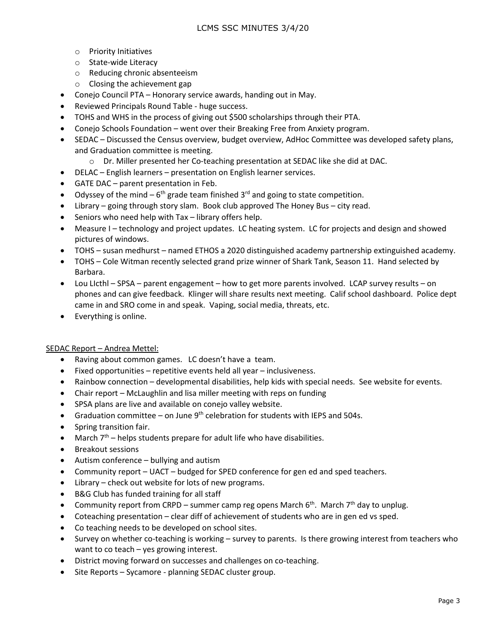- o Priority Initiatives
- o State-wide Literacy
- o Reducing chronic absenteeism
- o Closing the achievement gap
- Conejo Council PTA Honorary service awards, handing out in May.
- Reviewed Principals Round Table huge success.
- TOHS and WHS in the process of giving out \$500 scholarships through their PTA.
- Conejo Schools Foundation went over their Breaking Free from Anxiety program.
- SEDAC Discussed the Census overview, budget overview, AdHoc Committee was developed safety plans, and Graduation committee is meeting.
	- o Dr. Miller presented her Co-teaching presentation at SEDAC like she did at DAC.
- DELAC English learners presentation on English learner services.
- GATE DAC parent presentation in Feb.
- Odyssey of the mind  $-6$ <sup>th</sup> grade team finished 3<sup>rd</sup> and going to state competition.
- Library going through story slam. Book club approved The Honey Bus city read.
- $\bullet$  Seniors who need help with Tax library offers help.
- Measure I technology and project updates. LC heating system. LC for projects and design and showed pictures of windows.
- TOHS susan medhurst named ETHOS a 2020 distinguished academy partnership extinguished academy.
- TOHS Cole Witman recently selected grand prize winner of Shark Tank, Season 11. Hand selected by Barbara.
- Lou LIcthl SPSA parent engagement how to get more parents involved. LCAP survey results on phones and can give feedback. Klinger will share results next meeting. Calif school dashboard. Police dept came in and SRO come in and speak. Vaping, social media, threats, etc.
- Everything is online.

### SEDAC Report – Andrea Mettel:

- Raving about common games. LC doesn't have a team.
- $\bullet$  Fixed opportunities repetitive events held all year inclusiveness.
- Rainbow connection developmental disabilities, help kids with special needs. See website for events.
- Chair report McLaughlin and lisa miller meeting with reps on funding
- SPSA plans are live and available on conejo valley website.
- Graduation committee on June  $9<sup>th</sup>$  celebration for students with IEPS and 504s.
- Spring transition fair.
- March  $7<sup>th</sup>$  helps students prepare for adult life who have disabilities.
- Breakout sessions
- Autism conference bullying and autism
- Community report UACT budged for SPED conference for gen ed and sped teachers.
- Library check out website for lots of new programs.
- B&G Club has funded training for all staff
- Community report from CRPD summer camp reg opens March  $6<sup>th</sup>$ . March  $7<sup>th</sup>$  day to unplug.
- Coteaching presentation clear diff of achievement of students who are in gen ed vs sped.
- Co teaching needs to be developed on school sites.
- Survey on whether co-teaching is working survey to parents. Is there growing interest from teachers who want to co teach – yes growing interest.
- District moving forward on successes and challenges on co-teaching.
- Site Reports Sycamore planning SEDAC cluster group.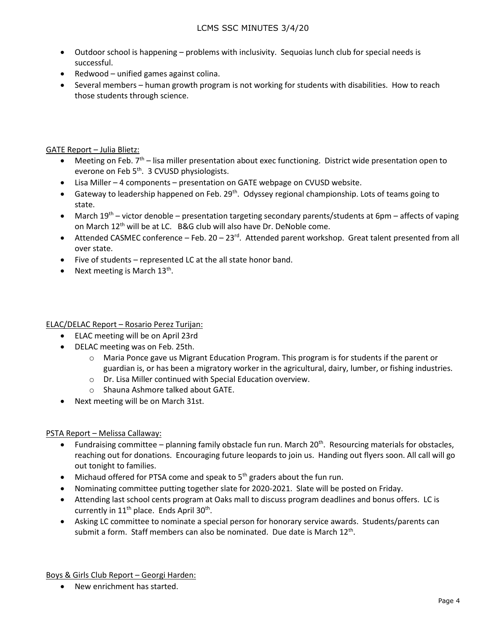- Outdoor school is happening problems with inclusivity. Sequoias lunch club for special needs is successful.
- Redwood unified games against colina.
- Several members human growth program is not working for students with disabilities. How to reach those students through science.

# GATE Report – Julia Blietz:

- $\bullet$  Meeting on Feb. 7<sup>th</sup> lisa miller presentation about exec functioning. District wide presentation open to everone on Feb 5<sup>th</sup>. 3 CVUSD physiologists.
- Lisa Miller 4 components presentation on GATE webpage on CVUSD website.
- Gateway to leadership happened on Feb. 29<sup>th</sup>. Odyssey regional championship. Lots of teams going to state.
- March 19<sup>th</sup> victor denoble presentation targeting secondary parents/students at 6pm affects of vaping on March 12<sup>th</sup> will be at LC. B&G club will also have Dr. DeNoble come.
- $\bullet$  Attended CASMEC conference Feb. 20 23<sup>rd</sup>. Attended parent workshop. Great talent presented from all over state.
- Five of students represented LC at the all state honor band.
- Next meeting is March  $13<sup>th</sup>$ .

ELAC/DELAC Report – Rosario Perez Turijan:

- ELAC meeting will be on April 23rd
- DELAC meeting was on Feb. 25th.
	- o Maria Ponce gave us Migrant Education Program. This program is for students if the parent or guardian is, or has been a migratory worker in the agricultural, dairy, lumber, or fishing industries.
	- o Dr. Lisa Miller continued with Special Education overview.
	- o Shauna Ashmore talked about GATE.
- Next meeting will be on March 31st.

### PSTA Report – Melissa Callaway:

- Fundraising committee planning family obstacle fun run. March  $20<sup>th</sup>$ . Resourcing materials for obstacles, reaching out for donations. Encouraging future leopards to join us. Handing out flyers soon. All call will go out tonight to families.
- Michaud offered for PTSA come and speak to 5<sup>th</sup> graders about the fun run.
- Nominating committee putting together slate for 2020-2021. Slate will be posted on Friday.
- Attending last school cents program at Oaks mall to discuss program deadlines and bonus offers. LC is currently in  $11<sup>th</sup>$  place. Ends April 30<sup>th</sup>.
- Asking LC committee to nominate a special person for honorary service awards. Students/parents can submit a form. Staff members can also be nominated. Due date is March 12<sup>th</sup>.

Boys & Girls Club Report – Georgi Harden:

• New enrichment has started.